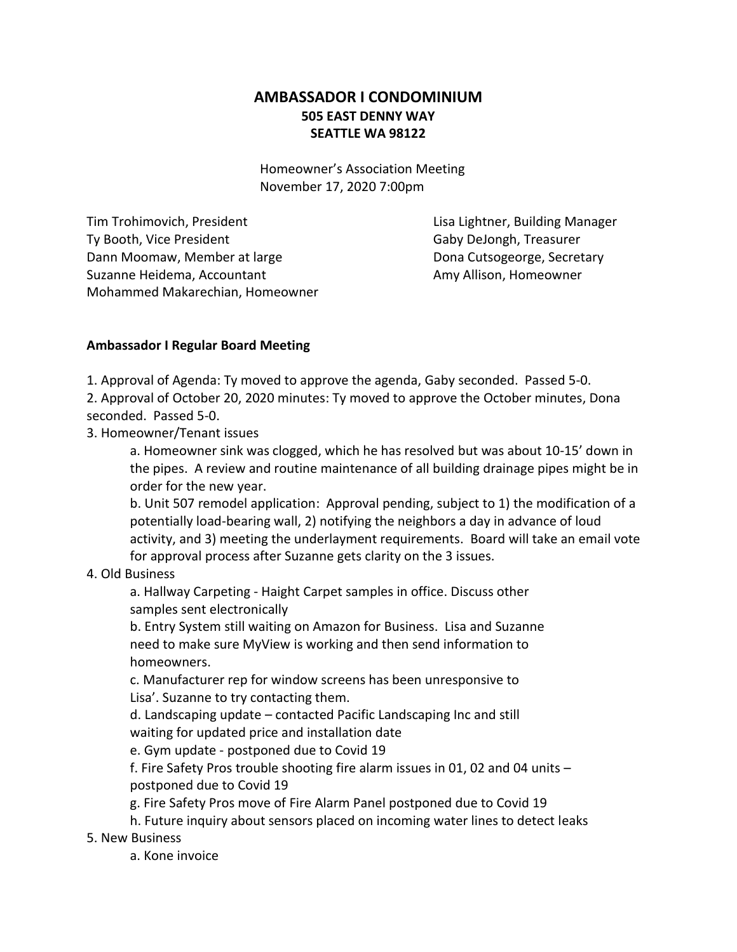## **AMBASSADOR I CONDOMINIUM 505 EAST DENNY WAY SEATTLE WA 98122**

Homeowner's Association Meeting November 17, 2020 7:00pm

Tim Trohimovich, President Lisa Lightner, Building Manager Ty Booth, Vice President Gaby DeJongh, Treasurer Dann Moomaw, Member at large Dona Cutsogeorge, Secretary Suzanne Heidema, Accountant Amy Allison, Homeowner Mohammed Makarechian, Homeowner

## **Ambassador I Regular Board Meeting**

1. Approval of Agenda: Ty moved to approve the agenda, Gaby seconded. Passed 5-0.

2. Approval of October 20, 2020 minutes: Ty moved to approve the October minutes, Dona seconded. Passed 5-0.

3. Homeowner/Tenant issues

a. Homeowner sink was clogged, which he has resolved but was about 10-15' down in the pipes. A review and routine maintenance of all building drainage pipes might be in order for the new year.

b. Unit 507 remodel application: Approval pending, subject to 1) the modification of a potentially load-bearing wall, 2) notifying the neighbors a day in advance of loud activity, and 3) meeting the underlayment requirements. Board will take an email vote for approval process after Suzanne gets clarity on the 3 issues.

## 4. Old Business

a. Hallway Carpeting - Haight Carpet samples in office. Discuss other samples sent electronically

b. Entry System still waiting on Amazon for Business. Lisa and Suzanne need to make sure MyView is working and then send information to homeowners.

c. Manufacturer rep for window screens has been unresponsive to Lisa'. Suzanne to try contacting them.

d. Landscaping update – contacted Pacific Landscaping Inc and still

waiting for updated price and installation date

e. Gym update - postponed due to Covid 19

f. Fire Safety Pros trouble shooting fire alarm issues in 01, 02 and 04 units – postponed due to Covid 19

g. Fire Safety Pros move of Fire Alarm Panel postponed due to Covid 19

h. Future inquiry about sensors placed on incoming water lines to detect leaks

5. New Business

a. Kone invoice